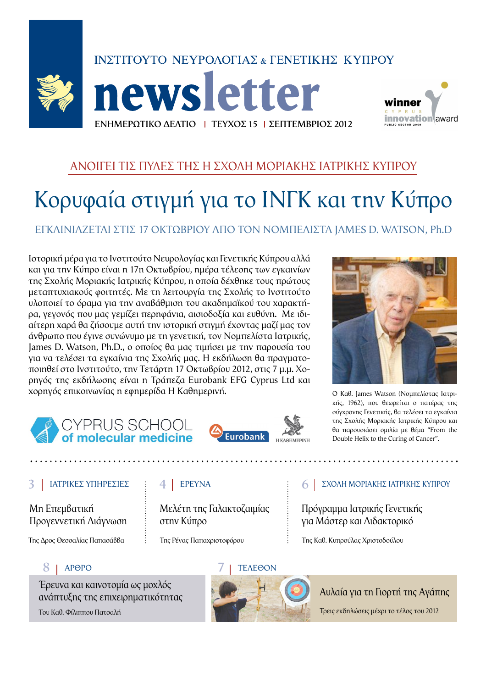

**lews letter** ΕΝΗΜΕΡΩΤΙΚΟ ΔΕΛΤΙΟ | ΤΕΥΧΟΣ 15 | ΣΕΠΤΕΜΒΡΙΟΣ 2012



### ΑΝΟΙΓΕΙ ΤΙΣ ΠΥΛΕΣ ΤΗΣ Η ΣΧΟΛΗ ΜΟΡΙΑΚΗΣ ΙΑΤΡΙΚΗΣ ΚΥΠΡΟΥ

## Κορυφαία στιγμή για το ΙΝΓΚ και την Κύπρο

ΕΓΚΑΙΝΙΑΖΕΤΑΙ ΣΤΙΣ 17 ΟΚΤΩΒΡΙΟΥ ΑΠΟ ΤΟΝ ΝΟΜΠΕΛΙΣΤΑ ΙΑΜΕS D. WATSON, Ph.D

Ιστορική μέρα για το Ινστιτούτο Νευρολογίας και Γενετικής Κύπρου αλλά και για την Κύπρο είναι η 17η Οκτωβρίου, ημέρα τέλεσης των εγκαινίων της Σχολής Μοριακής Ιατρικής Κύπρου, η οποία δέχθηκε τους πρώτους μεταπτυχιακούς φοιτητές. Με τη λειτουργία της Σχολής το Ινστιτούτο υλοποιεί το όραμα για την αναβάθμιση του ακαδημαϊκού του χαρακτήρα, γεγονός που μας γεμίζει περηφάνια, αισιοδοξία και ευθύνη. Με ιδιαίτερη χαρά θα ζήσουμε αυτή την ιστορική στιγμή έχοντας μαζί μας τον άνθρωπο που έγινε συνώνυμο με τη γενετική, τον Νομπελίστα Ιατρικής, James D. Watson, Ph.D., ο οποίος θα μας τιμήσει με την παρουσία του για να τελέσει τα εγκαίνια της Σχολής μας. Η εκδήλωση θα πραγματοποιηθεί στο Ινστιτούτο, την Τετάρτη 17 Οκτωβρίου 2012, στις 7 μ.μ. Χορηγός της εκδήλωσης είναι η Τράπεζα Eurobank EFG Cyprus Ltd και χορηγός επικοινωνίας η εφημερίδα Η Καθημερινή.



## **Eurobank**



Ο Καθ. James Watson (Νομπελίστας Ιατρικής, 1962), που θεωρείται ο πατέρας της σύγχρονης Γενετικής, θα τελέσει τα εγκαίνια της Σχολής Μοριακής Ιατρικής Κύπρου και θα παρουσιάσει ομιλία με θέμα "From the Double Helix to the Curing of Cancer".

### ΙΑΤΡΙΚΕΣ ΥΠΗΡΕΣΙΕΣ

Мп Еперватики Προγεννετική Διάγνωση

Της Δρος Θεσσαλίας Παπασάββα

### 8 | APOPO

Έρευνα και καινοτομία ως μοχλός ανάπτυξης της επιχειρηματικότητας

Του Καθ. Φίλιππου Πατσαλή

### 4 EPEYNA

Μελέτη της Γαλακτοζαιμίας στην Κύπρο

Της Ρένας Παπαχριστοφόρου

### 6 ΣΧΟΛΗ ΜΟΡΙΑΚΗΣ ΙΑΤΡΙΚΗΣ ΚΥΠΡΟΥ

Πρόγραμμα Ιατρικής Γενετικής για Μάστερ και Διδακτορικό

Της Καθ. Κυπρούλας Χριστοδούλου



### Αυλαία για τη Γιορτή της Αγάπης

Τρεις εκδηλώσεις μέχρι το τέλος του 2012

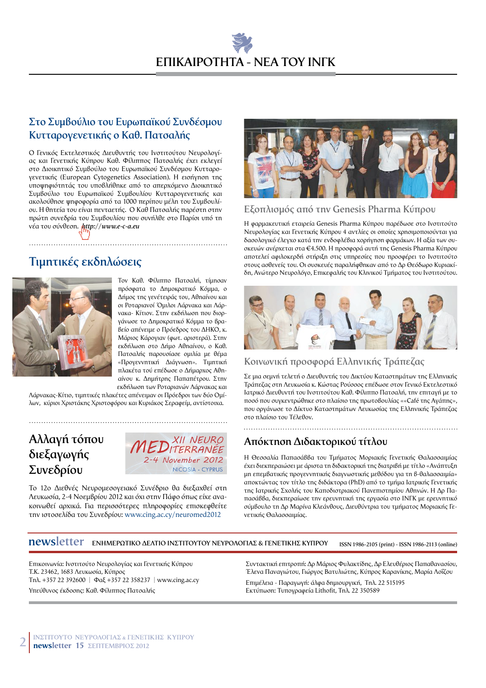### Στο Συμβούλιο του Ευρωπαϊκού Συνδέσμου Κυτταρογενετικής ο Καθ. Πατσαλής

Ο Γενικός Εκτελεστικός Διευθυντής του Ινστιτούτου Νευρολογίας και Γενετικής Κύπρου Καθ. Φίλιππος Πατσαλής έχει εκλεγεί στο Διοικητικό Συμβούλιο του Ευρωπαϊκού Συνδέσμου Κυτταρογενετικής (European Cytogenetics Association). Η εισήγηση της υποψηφιότητάς του υποβλήθηκε από το απερχόμενο Διοικητικό Συμβούλιο του Ευρωπαϊκού Συμβουλίου Κυτταρογενετικής και ακολούθησε ψηφοφορία από τα 1000 περίπου μέλη του Συμβουλίου. Η θητεία του είναι πενταετής. Ο Καθ Πατσαλής παρέστη στην πρώτη συνεδρία του Συμβουλίου που συνήλθε στο Παρίσι υπό τη νέα του σύνθεση. http://www.e-c-a.eu

### Τιμητικές εκδηλώσεις



Τον Καθ. Φίλιππο Πατσαλή, τίμησαν πρόσφατα το Δημοκρατικό Κόμμα, ο Δήμος της γενέτειράς του, Αθηαίνου και οι Ροταριανοί Όμιλοι Λάρνακα και Λάρνακα- Κίτιον. Στην εκδήλωση που διοργάνωσε το Δημοκρατικό Κόμμα το βραβείο απένειμε ο Πρόεδρος του ΔΗΚΟ, κ. Μάριος Κάρογιαν (φωτ. αριστερά). Στην εκδήλωση στο Δήμο Αθηαίνου, ο Καθ. Πατσαλής παρουσίασε ομιλία με θέμα «Προγεννητική Διάγνωση». Τιμητική πλακέτα τού επέδωσε ο Δήμαρχος Αθηαίνου κ. Δημήτρης Παπαπέτρου. Στην

εκδήλωση των Ροταριανών Λάρνακας και Λάρνακας-Κίτιο, τιμητικές πλακέτες απένειμαν οι Πρόεδροι των δύο Ομίλων, κύριοι Χριστάκης Χριστοφόρου και Κυριάκος Σεραφείμ, αντίστοιχα.

### Αλλαγή τόπου διεξαγωγής Συνεδρίου



Το 12ο Διεθνές Νευρομεσογειακό Συνέδριο θα διεξαχθεί στη Λευκωσία, 2-4 Νοεμβρίου 2012 και όχι στην Πάφο όπως είχε ανακοινωθεί αρχικά. Για περισσότερες πληροφορίες επισκεφθείτε την ιστοσελίδα του Συνεδρίου: www.cing.ac.cy/neuromed2012



### Εξοπλισμός από την Genesis Pharma Κύπρου

Η φαρμακευτική εταιρεία Genesis Pharma Κύπρου παρέδωσε στο Ινστιτούτο Νευρολονίας και Γενετικής Κύπρου 4 αντλίες οι οποίες χρησιμοποιούνται νια δασολογικό έλεγχο κατά την ενδοφλέβια χορήγηση φαρμάκων. Η αξία των συσκευών ανέρχεται στα €4.500. Η προσφορά αυτή της Genesis Pharma Κύπρου αποτελεί αφιλοκερδή στήριξη στις υπηρεσίες που προσφέρει το Ινστιτούτο στους ασθενείς του. Οι συσκευές παραλήφθηκαν από το Δρ Θεόδωρο Κυριακίδη, Ανώτερο Νευρολόγο, Επικεφαλής του Κλινικού Τμήματος του Ινστιτούτου.



### Κοινωνική προσφορά Ελληνικής Τράπεζας

Σε μια σεμνή τελετή ο Διευθυντής του Δικτύου Καταστημάτων της Ελληνικής Τράπεζας στη Λευκωσία κ. Κώστας Ρούσσος επέδωσε στον Γενικό Εκτελεστικό Ιατρικό Διευθυντή του Ινστιτούτου Καθ. Φίλιππο Πατσαλή, την επιταγή με το ποσό που συγκεντρώθηκε στο πλαίσιο της πρωτοβουλίας ««Café της Αγάπης», που οργάνωσε το Δίκτυο Καταστημάτων Λευκωσίας της Ελληνικής Τράπεζας στο πλαίσιο του Τέλεθον.

### Απόκτηση Διδακτορικού τίτλου

Η Θεσσαλία Παπασάββα του Τμήματος Μοριακής Γενετικής Θαλασσαιμίας έχει διεκπεραιώσει με άριστα τη διδακτορική της διατριβή με τίτλο «Ανάπτυξη μη επεμβατικής προγεννητικής διαγνωστικής μεθόδου για τη β-θαλασσαιμία» αποκτώντας τον τίτλο της διδάκτορα (PhD) από το τμήμα Ιατρικής Γενετικής της Ιατρικής Σχολής του Καποδιστριακού Πανεπιστημίου Αθηνών. Η Δρ Παπασάββα, διεκπεραίωσε την ερευνητική της εργασία στο ΙΝΓΚ με ερευνητικό σύμβουλο τη Δρ Μαρίνα Κλεάνθους, Διευθύντρια του τμήματος Μοριακής Γενετικής Θαλασσαιμίας.

**newsletter** ENHMEPOTIKO AEATIO IN ETITOYTOY NEYPOAOTIAE & FENETIKHE KYTIPOY ISSN 1986-2105 (print) - ISSN 1986-2113 (online)

Επικοινωνία: Ινστιτούτο Νευρολογίας και Γενετικής Κύπρου Τ.Κ. 23462, 1683 Λευκωσία, Κύπρος Tn $\lambda$ . +357 22 392600 |  $\Phi$ a $\xi$  +357 22 358237 | www.cing.ac.cy Υπεύθυνος έκδοσης: Καθ. Φίλιππος Πατσαλής

Συντακτική επιτροπή: Δρ Μάριος Φυλακτίδης, Δρ Ελευθέριος Παπαθανασίου, Έλενα Παναγιώτου, Γιώργος Βατυλιώτης, Κύπρος Καρανίκης, Μαρία Λοΐζου

Επιμέλεια - Παραγωγή: άλφα δημιουργική, Τηλ. 22 515195 Εκτύπωση: Τυπογραφεία Lithofit, Τηλ. 22 350589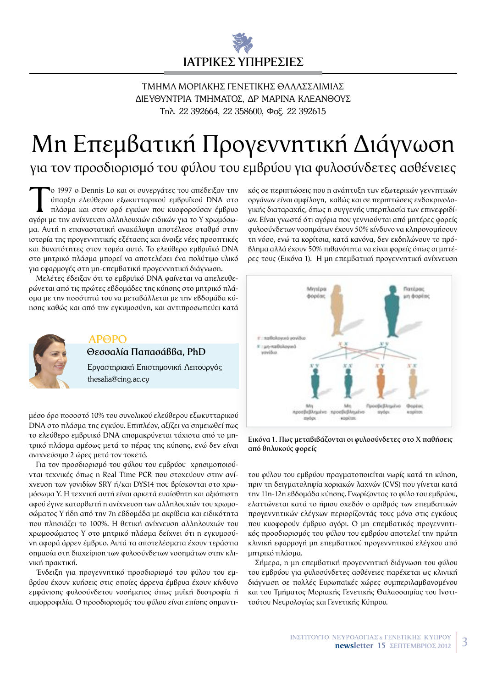

### ΤΜΗΜΑ ΜΟΡΙΑΚΗΣ ΓΕΝΕΤΙΚΗΣ ΘΑΛΑΣΣΑΙΜΙΑΣ ΔΙΕΥΘΥΝΤΡΙΑ ΤΜΗΜΑΤΟΣ, ΔΡ ΜΑΡΙΝΑ ΚΛΕΑΝΘΟΥΣ Τηλ. 22 392664, 22 358600, Φαξ. 22 392615

# Μη Επεμβατική Προγεννητική Διάγνωση

για τον προσδιορισμό του φύλου του εμβρύου για φυλοσύνδετες ασθένειες

ο 1997 ο Dennis Lo και οι συνεργάτες του απέδειξαν την ύπαρξη ελεύθερου εξωκυτταρικού εμβρυϊκού DNA στο πλάσμα και στον ορό εγκύων που κυοφορούσαν έμβρυο αγόρι με την ανίχνευση αλληλουχιών ειδικών για το Υ χρωμόσωμα. Αυτή η επαναστατική ανακάλυψη αποτέλεσε σταθμό στην ιστορία της προγεννητικής εξέτασης και άνοιξε νέες προοπτικές και δυνατότητες στον τομέα αυτό. Το ελεύθερο εμβρυϊκό DNA στο μητρικό πλάσμα μπορεί να αποτελέσει ένα πολύτιμο υλικό για εφαρμογές στη μη-επεμβατική προγεννητική διάγνωση.

Μελέτες έδειξαν ότι το εμβρυϊκό DNA φαίνεται να απελευθερώνεται από τις πρώτες εβδομάδες της κύησης στο μητρικό πλάσμα με την ποσότητά του να μεταβάλλεται με την εβδομάδα κύησης καθώς και από την εγκυμοσύνη, και αντιπροσωπεύει κατά



### **APOPO** Θεσσαλία Παπασάββα, PhD

Εργαστηριακή Επιστημονική Λειτουργός thesalia@cing.ac.cy

μέσο όρο ποσοστό 10% του συνολικού ελεύθερου εξωκυτταρικού DNA στο πλάσμα της εγκύου. Επιπλέον, αξίζει να σημειωθεί πως το ελεύθερο εμβρυικό DNA απομακρύνεται τάχιστα από το μητρικό πλάσμα αμέσως μετά το πέρας της κύησης, ενώ δεν είναι ανιχνεύσιμο 2 ώρες μετά τον τοκετό.

Για τον προσδιορισμό του φύλου του εμβρύου χρησιμοποιούνται τεχνικές όπως n Real Time PCR που στοχεύουν στην ανίχνευση των γονιδίων SRY ή/και DYS14 που βρίσκονται στο χρωμόσωμα Υ. Η τεχνική αυτή είναι αρκετά ευαίσθητη και αξιόπιστη αφού έγινε κατορθωτή η ανίχνευση των αλληλουχιών του χρωμοσώματος Υ ήδη από την 7η εβδομάδα με ακρίβεια και ειδικότητα που πλησιάζει το 100%. Η θετική ανίχνευση αλληλουχιών του χρωμοσώματος Υ στο μητρικό πλάσμα δείχνει ότι η εγκυμοσύνη αφορά άρρεν έμβρυο. Αυτά τα αποτελέσματα έχουν τεράστια σημασία στη διαχείριση των φυλοσύνδετων νοσημάτων στην κλινική πρακτική.

Ένδειξη για προγεννητικό προσδιορισμό του φύλου του εμβρύου έχουν κυήσεις στις οποίες άρρενα έμβρυα έχουν κίνδυνο εμφάνισης φυλοσύνδετου νοσήματος όπως μυϊκή δυστροφία ή αιμορροφιλία. Ο προσδιορισμός του φύλου είναι επίσης σημαντικός σε περιπτώσεις που η ανάπτυξη των εξωτερικών γεννητικών οργάνων είναι αμφίλογη, καθώς και σε περιπτώσεις ενδοκρινολογικής διαταραχής, όπως η συγγενής υπερπλασία των επινεφριδίων. Είναι γνωστό ότι αγόρια που γεννιούνται από μητέρες φορείς φυλοσύνδετων νοσημάτων έχουν 50% κίνδυνο να κληρονομήσουν τη νόσο, ενώ τα κορίτσια, κατά κανόνα, δεν εκδηλώνουν το πρόβλημα αλλά έχουν 50% πιθανότητα να είναι φορείς όπως οι μητέρες τους (Εικόνα 1). Η μη επεμβατική προγεννητική ανίχνευση



Εικόνα 1. Πως μεταβιβάζονται οι φυλοσύνδετες στο Χ παθήσεις από θηλυκούς φορείς

του φύλου του εμβρύου πραγματοποιείται νωρίς κατά τη κύηση, πριν τη δειγματοληψία χοριακών λαχνών (CVS) που γίνεται κατά την 11η-12η εβδομάδα κύησης. Γνωρίζοντας το φύλο του εμβρύου, ελαττώνεται κατά το ήμισυ σχεδόν ο αριθμός των επεμβατικών προγεννητικών ελέγχων περιορίζοντάς τους μόνο στις εγκύους που κυοφορούν έμβρυο αγόρι. Ο μη επεμβατικός προγεννητικός προσδιορισμός του φύλου του εμβρύου αποτελεί την πρώτη κλινική εφαρμογή μη επεμβατικού προγεννητικού ελέγχου από μητρικό πλάσμα.

Σήμερα, η μη επεμβατική προγεννητική διάγνωση του φύλου του εμβρύου για φυλοσύνδετες ασθένειες παρέχεται ως κλινική διάγνωση σε πολλές Ευρωπαϊκές χώρες συμπεριλαμβανομένου και του Τμήματος Μοριακής Γενετικής Θαλασσαιμίας του Ινστιτούτου Νευρολογίας και Γενετικής Κύπρου.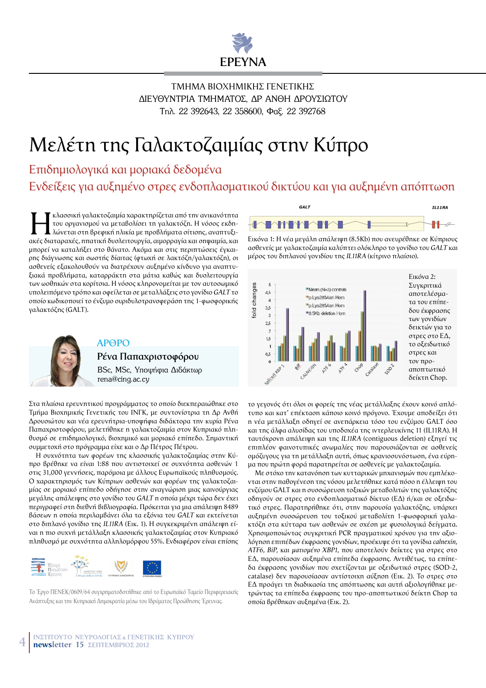

ΤΜΗΜΑ ΒΙΟΧΗΜΙΚΗΣ ΓΕΝΕΤΙΚΗΣ ΔΙΕΥΘΥΝΤΡΙΑ ΤΜΗΜΑΤΟΣ, ΔΡ ΑΝΘΗ ΔΡΟΥΣΙΩΤΟΥ Tnd. 22 392643, 22 358600, Φαξ. 22 392768

## Μελέτη της Γαλακτοζαιμίας στην Κύπρο

Eνδείξεις για αυξημένο στρες ενδοπλασματικού δικτύου και για αυξημένη απόπτωση Επιδημιολογικά και μοριακά δεδομένα

MC. - κλασσική γαλακτοζαιμία χαρακτηρίζεται από την ανικανότητα<br>- Του οργανισμού να μεταβολίσει τη γαλακτόζη. Η νόσος εκδη-<br>- λώνεται στη βρεφική ηλικία με προβλήματα σίτισης, αναπτυξιτου οργανισμού να μεταβολίσει τη γαλακτόζη. Η νόσος εκδηακές διαταραχές, ηπατική δυσλειτουργία, αιμορραγία και σηψαιμία, και μπορεί να καταλήξει στο θάνατο. Ακόμα και στις περιπτώσεις έγκαιpnς διάγνωσης και σωστής δίαιτας (φτωχή σε λακτόζη/γαλακτόζη), οι aσθενείς εξακολουθούν να διατρέχουν αυξημένο κίνδυνο για αναπτυξιακά προβλήματα, καταρράκτη στα μάτια καθώς και δυσλειτουργία των ωοθηκών στα κορίτσια. Η νόσος κληρονομείται με τον αυτοσωμικό Uπολειπόμενο τρόπο και οφείλεται σε μεταλλάξεις στο γονίδιο GALT το oποίο κωδικοποιεί το ένζυμο ουριδυλοτρανσφεράση της 1-φωσφορικής γαλακτόζης (GALT).



### $AP<sub>0</sub>P<sub>0</sub>$

**Ρένα Παπαχριστοφόρου** BSc, MSc, Υποψήφια Διδάκτωρ rena@cing.ac.cy

Στα πλαίσια ερευνητικού προγράμματος το οποίο διεκπεραιώθηκε στο Τμήμα Βιοχημικής Γενετικής του ΙΝΓΚ, με συντονίστρια τη Δρ Ανθή Δρουσιώτου και νέα ερευνήτρια-υποψήφια διδάκτορα την κυρία Ρένα Παπαχριστοφόρου, μελετήθηκε η γαλακτοζαιμία στον Κυπριακό πληθυσμό σε επιδημιολογικό, βιοχημικό και μοριακό επίπεδο. Σημαντική συμμετοχή στο πρόγραμμα είχε και ο Δρ Πέτρος Πέτρου.

H συχνότητα των φορέων της κλασσικής γαλακτοζαιμίας στην Κύπρο βρέθηκε να είναι 1:88 που αντιστοιχεί σε συχνότητα ασθενών 1 στις 31,000 γεννήσεις, παρόμοια με άλλους Ευρωπαϊκούς πληθυσμούς. Ο χαρακτηρισμός των Κύπριων ασθενών και φορέων της γαλακτοζαιμίας σε μοριακό επίπεδο οδήγησε στην αναγνώριση μιας καινούργιας  $\mu$ εγάλης απάλειψης στο γονίδιο του GALT η οποία μέχρι τώρα δεν έχει περιγραφεί στη διεθνή βιβλιογραφία. Πρόκειται για μια απάλειψη 8489  $\beta$ άσεων η οποία περιλαμβάνει όλα τα εξόνια του GALT και εκτείνεται στο διπλανό γονίδιο της *IL11RA* (Εικ. 1). Η συγκεκριμένη απάλειψη είvai n πιο συχνή μετάλλαξη κλασσικής γαλακτοζαιμίας στον Κυπριακό  $\pi\lambda$ ηθυσμό με συχνότητα αλληλομόρφου 55%. Ενδιαφέρον είναι επίσης



Το Έργο ΠΕΝΕΚ/0609/64 συγχρηματοδοτήθηκε από το Ευρωπαϊκό Ταμείο Περιφερειακής Ανάπτυξης και την Κυπριακή Δημοκρατία μέσω του Ιδρύματος Προώθησης Έρευνας.



Eικόνα 1: Η νέα μεγάλη απάλειψη (8.5Kb) που ανευρέθηκε σε Κύπριους  $a$ σθενείς με γαλακτοζαιμία καλύπτει ολόκληρο το γονίδιο του *GALT* και μέρος του διπλανού γονιδίου της IL11RA (κίτρινο πλαίσιο).



το γεγονός ότι όλοι οι φορείς της νέας μετάλλαξης έχουν κοινό απλότυπο και κατ' επέκταση κάποιο κοινό πρόγονο. Έχουμε αποδείξει ότι n νέα μετάλλαξη οδηγεί σε ανεπάρκεια τόσο του ενζύμου GALT όσο Kαι της άλφα αλυσίδας του υποδοχέα της ιντερλευκίνης 11 (IL11RA). Η ταυτόχρονη απάλειψη και της IL11RA (contiguous deletion) εξηγεί τις επιπλέον φαινοτυπικές ανωμαλίες που παρουσιάζονται σε ασθενείς oμόζυγους για τη μετάλλαξη αυτή, όπως κρανιοσυνόστωση, ένα εύρημα που πρώτη φορά παρατηρείται σε ασθενείς με γαλακτοζαιμία.

Mε στόχο την κατανόηση των κυτταρικών μηχανισμών που εμπλέκοvται στην παθογένεση της νόσου μελετήθηκε κατά πόσο η έλλειψη του ενζύμου GALT και η συσσώρευση τοξικών μεταβολιτών της γαλακτόζης oδηγούν σε στρες στο ενδοπλασματικό δίκτυο (ΕΔ) ή/και σε οξειδωτικό στρες. Παρατηρήθηκε ότι, στην παρουσία γαλακτόζης, υπάρχει  $\alpha$ υξημένη συσσώρευση του τοξικού μεταβολίτη 1-φωσφορική γαλακτόζη στα κύτταρα των ασθενών σε σχέση με φυσιολογικά δείγματα. Xρησιμοποιώντας συγκριτική PCR πραγματικού χρόνου για την αξιο- $\lambda$ όγηση επιπέδων έκφρασης γονιδίων, προέκυψε ότι τα γονίδια *calnexin*, *ATF6, BiP, και ματισμένο XBP1, που αποτελούν δείκτες για στρες στο* ΕΔ, παρουσίασαν αυξημένα επίπεδα έκφρασης. Αντιθέτως, τα επίπεδα έκφρασης γονιδίων που σχετίζονται με οξειδωτικό στρες (SOD-2, catalase) δεν παρουσίασαν αντίστοιχη αύξηση (Εικ. 2). Το στρες στο EΔ προάγει τη διαδικασία της απόπτωσης και αυτή αξιολογήθηκε μετρώντας τα επίπεδα έκφρασης του προ-αποπτωτικού δείκτη Chop τα οποία βρέθηκαν αυξημένα (Εικ. 2).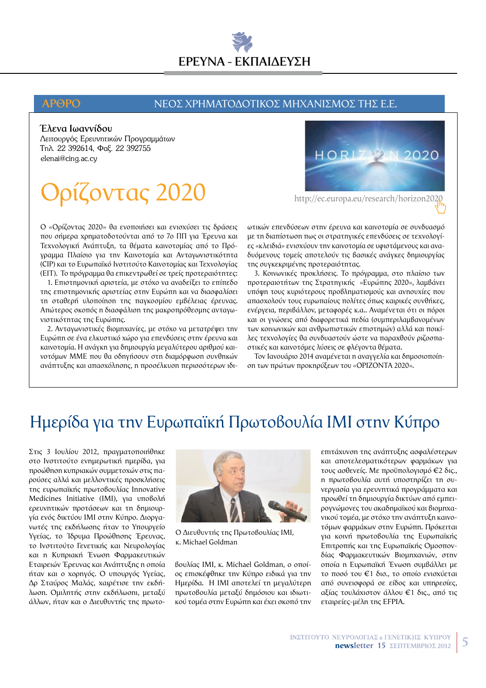# ΕΡΕΥΝΑ - ΕΚΠΑΙΛΕΥΣΗ

### **APOPO**

### ΝΕΟΣ ΧΡΗΜΑΤΟΔΟΤΙΚΟΣ ΜΗΧΑΝΙΣΜΟΣ ΤΗΣ Ε.Ε.

### Έλενα Ιωαννίδου

Λειτουργός Ερευνητικών Προγραμμάτων Τηλ. 22 392614, Φαξ. 22 392755 elenai@cing.ac.cy

## Ορίζοντας 2020

Ο «Ορίζοντας 2020» θα ενοποιήσει και ενισχύσει τις δράσεις που σήμερα χρηματοδοτούνται από το 7ο ΠΠ για Έρευνα και Τεχνολογική Ανάπτυξη, τα θέματα καινοτομίας από το Πρόγραμμα Πλαίσιο για την Καινοτομία και Ανταγωνιστικότητα (CIP) και το Ευρωπαϊκό Ινστιτούτο Καινοτομίας και Τεχνολογίας (EIT). Το πρόγραμμα θα επικεντρωθεί σε τρείς προτεραιότητες:

1. Επιστημονική αριστεία, με στόχο να αναδείξει το επίπεδο της επιστημονικής αριστείας στην Ευρώπη και να διασφαλίσει τη σταθερή υλοποίηση της παγκοσμίου εμβέλειας έρευνας. Απώτερος σκοπός η διασφάλιση της μακροπρόθεσμης ανταγωνιστικότητας της Ευρώπης.

2. Ανταγωνιστικές βιομηχανίες, με στόχο να μετατρέψει την Ευρώπη σε ένα ελκυστικό χώρο για επενδύσεις στην έρευνα και καινοτομία. Η ανάγκη για δημιουργία μεγαλύτερου αριθμού καινοτόμων ΜΜΕ που θα οδηγήσουν στη διαμόρφωση συνθηκών ανάπτυξης και απασχόλησης, η προσέλκυση περισσότερων ιδι-



http://ec.europa.eu/research/horizon2020

ωτικών επενδύσεων στην έρευνα και καινοτομία σε συνδυασμό με τη διαπίστωση πως οι στρατηγικές επενδύσεις σε τεχνολογίες «κλειδιά» ενισχύουν την καινοτομία σε υφιστάμενους και αναδυόμενους τομείς αποτελούν τις βασικές ανάγκες δημιουργίας της συγκεκριμένης προτεραιότητας.

3. Κοινωνικές προκλήσεις. Το πρόγραμμα, στο πλαίσιο των προτεραιοτήτων της Στρατηνικής «Ευρώπης 2020», λαμβάνει υπόψη τους κυριότερους προβληματισμούς και ανησυχίες που απασχολούν τους ευρωπαίους πολίτες όπως καιρικές συνθήκες, ενέργεια, περιβάλλον, μεταφορές κ.α.. Αναμένεται ότι οι πόροι και οι γνώσεις από διαφορετικά πεδία (συμπεριλαμβανομένων των κοινωνικών και ανθρωπιστικών επιστημών) αλλά και ποικίλες τεχνολογίες θα συνδυαστούν ώστε να παραχθούν ριζοσπαστικές και καινοτόμες λύσεις σε φλέγοντα θέματα.

Τον Ιανουάριο 2014 αναμένεται η αναγγελία και δημοσιοποίηon των πρώτων προκηρύξεων του «ΟΡΙΖΟΝΤΑ 2020».

### Ημερίδα για την Ευρωπαϊκή Πρωτοβουλία ΙΜΙ στην Κύπρο

Στις 3 Ιουλίου 2012, πραγματοποιήθηκε στο Ινστιτούτο ενημερωτική ημερίδα, για προώθηση κυπριακών συμμετοχών στις παρούσες αλλά και μελλοντικές προσκλήσεις της ευρωπαϊκής πρωτοβουλίας Innovative Medicines Initiative (IMI), για υποβολή ερευνητικών προτάσεων και τη δημιουργία ενός δικτύου ΙΜΙ στην Κύπρο. Διοργανωτές της εκδήλωσης ήταν το Υπουργείο Υγείας, το Ίδρυμα Προώθησης Έρευνας, το Ινστιτούτο Γενετικής και Νευρολογίας και η Κυπριακή Ένωση Φαρμακευτικών Εταιρειών Έρευνας και Ανάπτυξης η οποία ήταν και ο χορηγός. Ο υπουργός Υγείας, Δρ Σταύρος Μαλάς, χαιρέτισε την εκδήλωση. Ομιλητής στην εκδήλωσηι, μεταξύ άλλων, ήταν και ο Διευθυντής της πρωτο-



Ο Διευθυντής της Πρωτοβουλίας ΙΜΙ, к. Michael Goldman

βουλίας ΙΜΙ, κ. Michael Goldman, ο οποίος επισκέφθηκε την Κύπρο ειδικά για την Ημερίδα. Η IMI αποτελεί τη μεγαλύτερη πρωτοβουλία μεταξύ δημόσιου και ιδιωτικού τομέα στην Ευρώπη και έχει σκοπό την επιτάχυνση της ανάπτυξης ασφαλέστερων και αποτελεσματικότερων φαρμάκων για τους ασθενείς. Με προϋπολογισμό €2 δις., η πρωτοβουλία αυτή υποστηρίζει τη συνεργασία για ερευνητικά προγράμματα και προωθεί τη δημιουργία δικτύων από εμπειρογνώμονες του ακαδημαϊκού και βιομηχανικού τομέα, με στόχο την ανάπτυξη καινοτόμων φαρμάκων στην Ευρώπη. Πρόκειται για κοινή πρωτοβουλία της Ευρωπαϊκής Επιτροπής και της Ευρωπαϊκής Ομοσπονδίας Φαρμακευτικών Βιομηχανιών, στην οποία η Ευρωπαϊκή Ένωση συμβάλλει με το ποσό του €1 δισ., το οποίο ενισχύεται από συνεισφορά σε είδος και υπηρεσίες, αξίας τουλάχιστον άλλου €1 δις., από τις εταιρείες-μέλη της ΕΓΡΙΑ.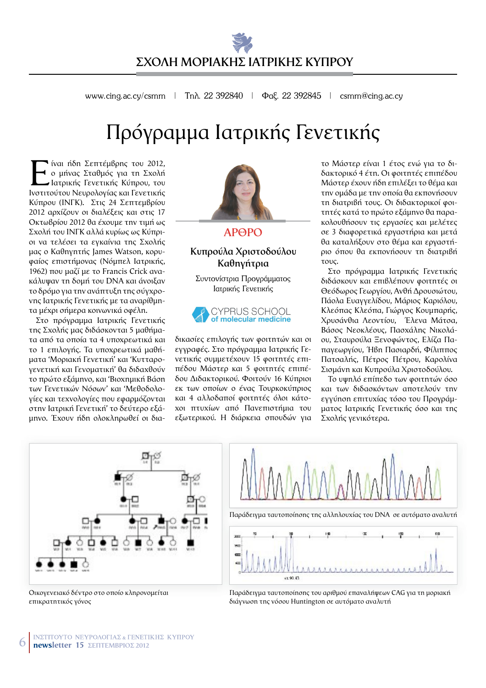www.cing.ac.cy/csmm | Tn $\lambda$ . 22 392840 |  $\Phi$  ac. 22 392845 | csmm@cing.ac.cy

## Πρόγραμμα Ιατρικής Γενετικής

I ίναι ήδη Σεπτέμβρης του 2012, ο μήνας Σταθμός για τη Σχολή Hατρικής Γενετικής Κύπρου, του Ινστιτούτου Νευρολογίας και Γενετικής Κύπρου (INΓΚ). Στις 24 Σεπτεμβρίου 2012 αρχίζουν οι διαλέξεις και στις 17 Οκτωβρίου 2012 θα έχουμε την τιμή ως Σχολή του ΙΝΓΚ αλλά κυρίως ως Κύπριοι να τελέσει τα εγκαίνια της Σχολής μας ο Καθηγητής James Watson, κορυφαίος επιστήμονας (Νόμπελ Ιατρικής, 1962) που μαζί με το Francis Crick ανακάλυψαν τη δομή του DNA και άνοιξαν το δρόμο για την ανάπτυξη της σύγχροvnς Ιατρικής Γενετικής με τα αναρίθμητα μέχρι σήμερα κοινωνικά οφέλη.

Στο πρόγραμμα Ιατρικής Γενετικής της Σχολής μας διδάσκονται 5 μαθήματα από τα οποία τα 4 υποχρεωτικά και το 1 επιλογής. Τα υποχρεωτικά μαθήματα 'Μοριακή Γενετική' και 'Κυτταρογενετική και Γενοματική' θα διδαχθούν το πρώτο εξάμηνο, και 'Βιοχημική Βάση των Γενετικών Νόσων' και 'Μεθοδολο-Vίες και τεχνολογίες που εφαρμόζονται στην Ιατρική Γενετική' το δεύτερο εξάμηνο. Έχουν ήδη ολοκληρωθεί οι δια-



 $AP$ <sup>O</sup>PO

### **Κυπρούλα Χριστοδούλου Kαθηγήτρια**

Συντονίστρια Προγράμματος Ιατρικής Γενετικής



δικασίες επιλονής των φοιτητών και οι εγγραφές. Στο πρόγραμμα Ιατρικής Γε-VETIKής συμμετέχουν 15 φοιτητές επιπέδου Μάστερ και 5 φοιτητές επιπέδου Διδακτορικού, Φοιτούν 16 Κύπριοι εκ των οποίων ο ένας Τουρκοκύπριος και 4 αλλοδαποί φοιτητές όλοι κάτοχοι πτυχίων από Πανεπιστήμια του εξωτερικού. Η διάρκεια σπουδών νια

το Μάστερ είναι 1 έτος ενώ για το διδακτορικό 4 έτη. Οι φοιτητές επιπέδου Mάστερ έχουν ήδη επιλέξει το θέμα και την ομάδα με την οποία θα εκπονήσουν τη διατριβή τους. Οι διδακτορικοί φοιτητές κατά το πρώτο εξάμηνο θα παρακολουθήσουν τις εργασίες και μελέτες σε 3 διαφορετικά εργαστήρια και μετά θα καταλήξουν στο θέμα και εργαστήριο όπου θα εκπονήσουν τη διατριβή TOUC.

Στο πρόγραμμα Ιατρικής Γενετικής διδάσκουν και επιβλέπουν φοιτητές οι Θεόδωρος Γεωργίου, Ανθή Δρουσιώτου, Πάολα Ευαγγελίδου, Μάριος Καριόλου, Κλεόπας Κλεόπα, Γιώργος Κουμπαρής, Χρυσάνθια Λεοντίου, Έλενα Μάτσα, Βάσος Νεοκλέους, Πασχάλης Νικολάου, Σταυρούλα Ξενοφώντος, Ελίζα Παπαγεωργίου, Ήβη Πασιαρδή, Φίλιππος Πατσαλής, Πέτρος Πέτρου, Καρολίνα Σισμάνη και Κυπρούλα Χριστοδούλου.

Το υψηλό επίπεδο των φοιτητών όσο και των διδασκόντων αποτελούν την εγγύηση επιτυχίας τόσο του Προγράμματος Ιατρικής Γενετικής όσο και της Σχολής γενικότερα.





Oικογενειακό δέντρο στο οποίο κληρονομείται<br>επικρατητικός γόνος

Παράδειγμα ταυτοποίησης του αριθμού επαναλήψεων CAG για τη μοριακή διάγνωση της νόσου Huntington σε αυτόματο αναλυτή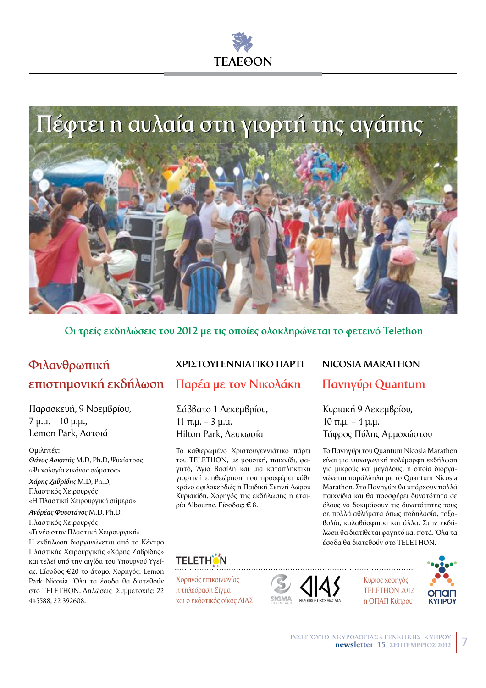# **TEAFAON**



 $\Omega$ **:** τρείς εκδηλώσεις του 2012 με τις οποίες ολοκληρώνεται το φετεινό Telethon

### $\Phi$ ιλανθρωπική  $E$  **FTIIOTNIOVIKή** εκδήλωση Παρέα με τον Νικολάκη Πανηγύρι Quantum

Παρασκευή, 9 Νοεμβρίου, 7 µ.µ. – 10 µ.µ., Lemon Park, Agroiá

 $Q$ <sub>UI</sub> $\lambda$ n $\tau$ é $c$ :  $\theta$ *άνος Ασκητής Μ.D, Ph.D, Ψυχίατρος* «Ψυχολογία εικόνας σώματος» *,"-)% ./0-12)%* M.D, Ph.D, Πλαστικός Χειρουργός

«Η Πλαστική Χειρουργική σήμερα»  $A$ νδρέας Φουστάνος Μ.D, Ph.D,

Πλαστικός Χειρουργός

«Τι νέο στην Πλαστική Χειρουργική» H εκδήλωση διοργανώνεται από το Κέντρο

Πλαστικής Χειρουργικής «Χάρης Ζαβρίδης» και τελεί υπό την αιγίδα του Υπουργού Υγείaς. Είσοδος €20 το άτομο. Χορηγός: Lemon Park Nicosia. Όλα τα έσοδα θα διατεθούν στο TELETHON. Δηλώσεις Συμμετοχής: 22 445588, 22 392608.

### **+"%,\$'\*1!00%2\$%&' -2"\$% NICOSIA MARATHON**

Σάββατο 1 Δεκεμβρίου, 11 π.μ. – 3 μ.μ. Hilton Park, Λευκωσία

Το καθιερωμένο Χριστουγεννιάτικο πάρτι του ΤΕLΕΤΗΟΝ, με μουσική, παιχνίδι, φαγητό, Άγιο Βασίλη και μια καταπληκτική γιορτινή επιθεώρηση που προσφέρει κάθε χρόνο αφιλοκερδώς η Παιδική Σκηνή Δώρου Κυριακίδη. Χορηγός της εκδήλωσης η εταιρία Albourne. Είσοδος: € 8.

Κυριακή 9 Δεκεμβρίου,  $10 \pi.\mu. - 4 \mu.\mu.$ Τάφρος Πύλης Αμμοχώστου

Το Πανηγύρι του Quantum Nicosia Marathon είναι μια ψυχαγωγική πολύμορφη εκδήλωση για μικρούς και μεγάλους, η οποία διοργαvώνεται παράλληλα με το Quantum Nicosia Marathon. Στο Πανηγύρι θα υπάρχουν πολλά παιχνίδια και θα προσφέρει δυνατότητα σε όλους να δοκιμάσουν τις δυνατότητες τους σε πολλά αθλήματα όπως ποδηλασία, τοξο-Βολία, καλαθόσφαιρα και άλλα. Στην εκδήλωση θα διατίθεται φαγητό και ποτά. Όλα τα έσοδα θα διατεθούν στο TELETHON.



Χορηγός επικοινωνίας n τηλεόραση Σίγμα και ο εκδοτικός οίκος ΔΙΑΣ